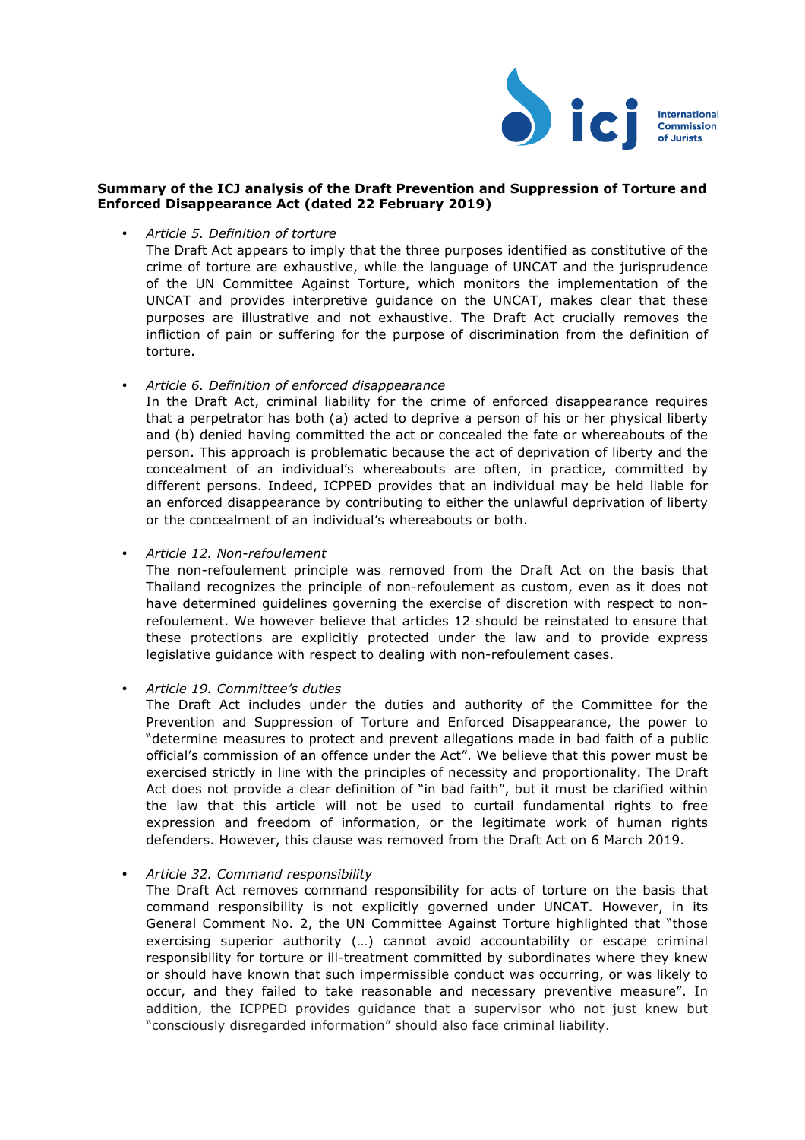

## **Summary of the ICJ analysis of the Draft Prevention and Suppression of Torture and Enforced Disappearance Act (dated 22 February 2019)**

• *Article 5. Definition of torture* 

The Draft Act appears to imply that the three purposes identified as constitutive of the crime of torture are exhaustive, while the language of UNCAT and the jurisprudence of the UN Committee Against Torture, which monitors the implementation of the UNCAT and provides interpretive guidance on the UNCAT, makes clear that these purposes are illustrative and not exhaustive. The Draft Act crucially removes the infliction of pain or suffering for the purpose of discrimination from the definition of torture.

• *Article 6. Definition of enforced disappearance*

In the Draft Act, criminal liability for the crime of enforced disappearance requires that a perpetrator has both (a) acted to deprive a person of his or her physical liberty and (b) denied having committed the act or concealed the fate or whereabouts of the person. This approach is problematic because the act of deprivation of liberty and the concealment of an individual's whereabouts are often, in practice, committed by different persons. Indeed, ICPPED provides that an individual may be held liable for an enforced disappearance by contributing to either the unlawful deprivation of liberty or the concealment of an individual's whereabouts or both.

• *Article 12. Non-refoulement*

The non-refoulement principle was removed from the Draft Act on the basis that Thailand recognizes the principle of non-refoulement as custom, even as it does not have determined guidelines governing the exercise of discretion with respect to nonrefoulement. We however believe that articles 12 should be reinstated to ensure that these protections are explicitly protected under the law and to provide express legislative guidance with respect to dealing with non-refoulement cases.

• *Article 19. Committee's duties* 

The Draft Act includes under the duties and authority of the Committee for the Prevention and Suppression of Torture and Enforced Disappearance, the power to "determine measures to protect and prevent allegations made in bad faith of a public official's commission of an offence under the Act". We believe that this power must be exercised strictly in line with the principles of necessity and proportionality. The Draft Act does not provide a clear definition of "in bad faith", but it must be clarified within the law that this article will not be used to curtail fundamental rights to free expression and freedom of information, or the legitimate work of human rights defenders. However, this clause was removed from the Draft Act on 6 March 2019.

• *Article 32. Command responsibility* 

The Draft Act removes command responsibility for acts of torture on the basis that command responsibility is not explicitly governed under UNCAT. However, in its General Comment No. 2, the UN Committee Against Torture highlighted that "those exercising superior authority (…) cannot avoid accountability or escape criminal responsibility for torture or ill-treatment committed by subordinates where they knew or should have known that such impermissible conduct was occurring, or was likely to occur, and they failed to take reasonable and necessary preventive measure". In addition, the ICPPED provides guidance that a supervisor who not just knew but "consciously disregarded information" should also face criminal liability.